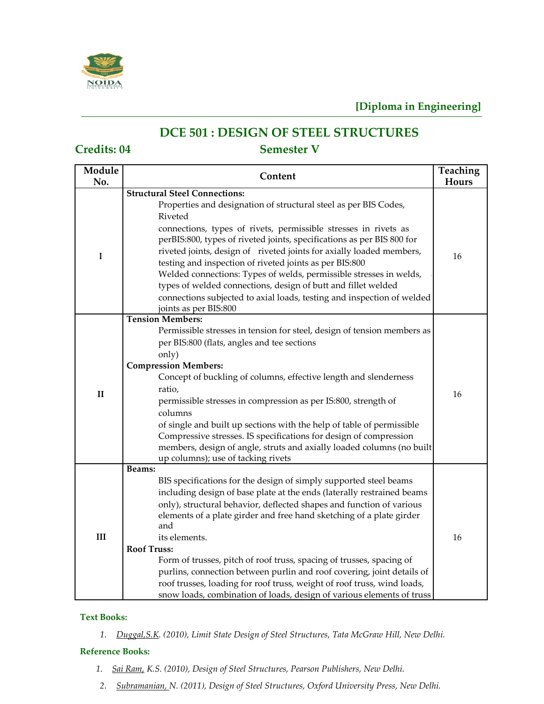

# **DCE 501 : DESIGN OF STEEL STRUCTURES**

## **Credits: 04 Semester V**

| Module<br>No. | <b>Teaching</b><br>Content                                                                                                                                                                                                                                                                                                                                                                                                                                                                                                                                                                                                                                |       |
|---------------|-----------------------------------------------------------------------------------------------------------------------------------------------------------------------------------------------------------------------------------------------------------------------------------------------------------------------------------------------------------------------------------------------------------------------------------------------------------------------------------------------------------------------------------------------------------------------------------------------------------------------------------------------------------|-------|
|               | <b>Structural Steel Connections:</b>                                                                                                                                                                                                                                                                                                                                                                                                                                                                                                                                                                                                                      | Hours |
| I             | Properties and designation of structural steel as per BIS Codes,<br>Riveted<br>connections, types of rivets, permissible stresses in rivets as<br>perBIS:800, types of riveted joints, specifications as per BIS 800 for<br>riveted joints, design of riveted joints for axially loaded members,<br>testing and inspection of riveted joints as per BIS:800<br>Welded connections: Types of welds, permissible stresses in welds,<br>types of welded connections, design of butt and fillet welded<br>connections subjected to axial loads, testing and inspection of welded<br>joints as per BIS:800                                                     | 16    |
| $\mathbf{I}$  | <b>Tension Members:</b><br>Permissible stresses in tension for steel, design of tension members as<br>per BIS:800 (flats, angles and tee sections<br>only)<br><b>Compression Members:</b><br>Concept of buckling of columns, effective length and slenderness<br>ratio,<br>permissible stresses in compression as per IS:800, strength of<br>columns<br>of single and built up sections with the help of table of permissible<br>Compressive stresses. IS specifications for design of compression<br>members, design of angle, struts and axially loaded columns (no built<br>up columns); use of tacking rivets                                         | 16    |
| III           | Beams:<br>BIS specifications for the design of simply supported steel beams<br>including design of base plate at the ends (laterally restrained beams<br>only), structural behavior, deflected shapes and function of various<br>elements of a plate girder and free hand sketching of a plate girder<br>and<br>its elements.<br><b>Roof Truss:</b><br>Form of trusses, pitch of roof truss, spacing of trusses, spacing of<br>purlins, connection between purlin and roof covering, joint details of<br>roof trusses, loading for roof truss, weight of roof truss, wind loads,<br>snow loads, combination of loads, design of various elements of truss | 16    |

### **Text Books:**

*1. [Duggal,S.K. \(](http://www.flipkart.com/author/duggal/)2010), Limit State Design of Steel Structures, Tata McGraw Hill, New Delhi.*

### **Reference Books:**

- *1. [Sai Ram,](http://www.flipkart.com/author/k-s-sai-ram/) K.S. (2010), Design of Steel Structures, Pearson Publishers, New Delhi.*
- *2. [Subramanian, N](http://www.flipkart.com/author/n-subramanian/). (2011), Design of Steel Structures, Oxford University Press, New Delhi.*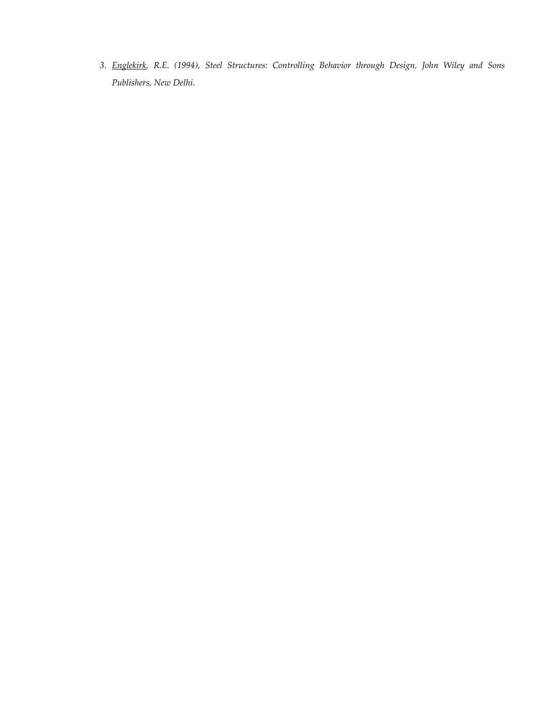*3. [Englekirk, R](http://www.flipkart.com/author/robert-e-englekirk/).E. (1994), Steel Structures: Controlling Behavior through Design, John Wiley and Sons Publishers, New Delhi.*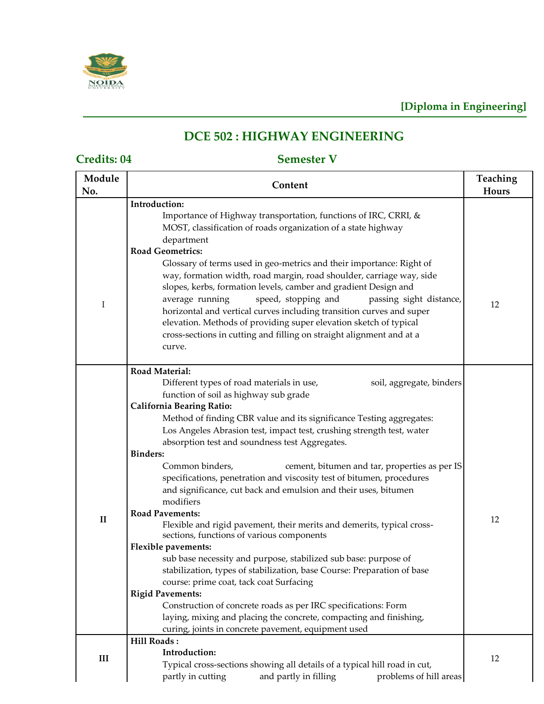

# **DCE 502 : HIGHWAY ENGINEERING**

**Credits: 04 Semester V**

| Module<br>No. | Content                                                                                                                                                                                                                                                                                                                                                                                                                                                                                                                                                                                                                                                                                                                                                                                                                                                                                                                                                                                                                                                                                                                                                                   | Teaching<br>Hours |
|---------------|---------------------------------------------------------------------------------------------------------------------------------------------------------------------------------------------------------------------------------------------------------------------------------------------------------------------------------------------------------------------------------------------------------------------------------------------------------------------------------------------------------------------------------------------------------------------------------------------------------------------------------------------------------------------------------------------------------------------------------------------------------------------------------------------------------------------------------------------------------------------------------------------------------------------------------------------------------------------------------------------------------------------------------------------------------------------------------------------------------------------------------------------------------------------------|-------------------|
| $\bf{I}$      | Introduction:<br>Importance of Highway transportation, functions of IRC, CRRI, &<br>MOST, classification of roads organization of a state highway<br>department<br><b>Road Geometrics:</b><br>Glossary of terms used in geo-metrics and their importance: Right of<br>way, formation width, road margin, road shoulder, carriage way, side<br>slopes, kerbs, formation levels, camber and gradient Design and<br>speed, stopping and<br>passing sight distance,<br>average running<br>horizontal and vertical curves including transition curves and super<br>elevation. Methods of providing super elevation sketch of typical<br>cross-sections in cutting and filling on straight alignment and at a<br>curve.                                                                                                                                                                                                                                                                                                                                                                                                                                                         | 12                |
| $\mathbf{I}$  | <b>Road Material:</b><br>Different types of road materials in use,<br>soil, aggregate, binders<br>function of soil as highway sub grade<br><b>California Bearing Ratio:</b><br>Method of finding CBR value and its significance Testing aggregates:<br>Los Angeles Abrasion test, impact test, crushing strength test, water<br>absorption test and soundness test Aggregates.<br><b>Binders:</b><br>Common binders,<br>cement, bitumen and tar, properties as per IS<br>specifications, penetration and viscosity test of bitumen, procedures<br>and significance, cut back and emulsion and their uses, bitumen<br>modifiers<br><b>Road Pavements:</b><br>Flexible and rigid pavement, their merits and demerits, typical cross-<br>sections, functions of various components<br><b>Flexible pavements:</b><br>sub base necessity and purpose, stabilized sub base: purpose of<br>stabilization, types of stabilization, base Course: Preparation of base<br>course: prime coat, tack coat Surfacing<br><b>Rigid Pavements:</b><br>Construction of concrete roads as per IRC specifications: Form<br>laying, mixing and placing the concrete, compacting and finishing, | 12                |
| III           | curing, joints in concrete pavement, equipment used<br><b>Hill Roads:</b><br>Introduction:<br>Typical cross-sections showing all details of a typical hill road in cut,<br>problems of hill areas<br>partly in cutting<br>and partly in filling                                                                                                                                                                                                                                                                                                                                                                                                                                                                                                                                                                                                                                                                                                                                                                                                                                                                                                                           | 12                |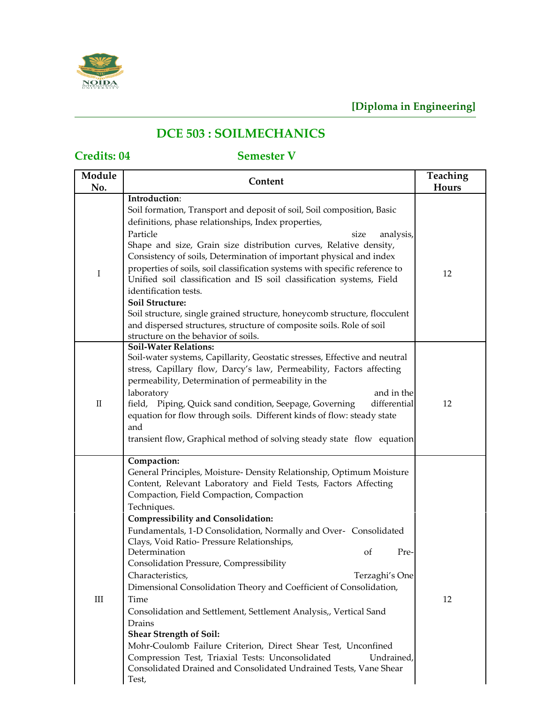

# **DCE 503 : SOILMECHANICS**

# **Credits: 04 Semester V**

| Module<br>No. | Content                                                                                                                                                                                                                                                                                                                                                                                                                                                                                                                                                                                                                                                                                                                                                                                                                                                                                                          | Teaching<br>Hours |
|---------------|------------------------------------------------------------------------------------------------------------------------------------------------------------------------------------------------------------------------------------------------------------------------------------------------------------------------------------------------------------------------------------------------------------------------------------------------------------------------------------------------------------------------------------------------------------------------------------------------------------------------------------------------------------------------------------------------------------------------------------------------------------------------------------------------------------------------------------------------------------------------------------------------------------------|-------------------|
| I             | Introduction:<br>Soil formation, Transport and deposit of soil, Soil composition, Basic<br>definitions, phase relationships, Index properties,<br>Particle<br>analysis,<br>size<br>Shape and size, Grain size distribution curves, Relative density,<br>Consistency of soils, Determination of important physical and index<br>properties of soils, soil classification systems with specific reference to<br>Unified soil classification and IS soil classification systems, Field<br>identification tests.<br>Soil Structure:<br>Soil structure, single grained structure, honeycomb structure, flocculent<br>and dispersed structures, structure of composite soils. Role of soil<br>structure on the behavior of soils.                                                                                                                                                                                      | 12                |
| $\rm II$      | <b>Soil-Water Relations:</b><br>Soil-water systems, Capillarity, Geostatic stresses, Effective and neutral<br>stress, Capillary flow, Darcy's law, Permeability, Factors affecting<br>permeability, Determination of permeability in the<br>laboratory<br>and in the<br>field, Piping, Quick sand condition, Seepage, Governing<br>differential<br>equation for flow through soils. Different kinds of flow: steady state<br>and<br>transient flow, Graphical method of solving steady state flow equation                                                                                                                                                                                                                                                                                                                                                                                                       | 12                |
| $\rm III$     | Compaction:<br>General Principles, Moisture- Density Relationship, Optimum Moisture<br>Content, Relevant Laboratory and Field Tests, Factors Affecting<br>Compaction, Field Compaction, Compaction<br>Techniques.<br><b>Compressibility and Consolidation:</b><br>Fundamentals, 1-D Consolidation, Normally and Over- Consolidated<br>Clays, Void Ratio- Pressure Relationships,<br>Determination<br>οf<br>Pre-<br>Consolidation Pressure, Compressibility<br>Terzaghi's One<br>Characteristics,<br>Dimensional Consolidation Theory and Coefficient of Consolidation,<br>Time<br>Consolidation and Settlement, Settlement Analysis,, Vertical Sand<br>Drains<br><b>Shear Strength of Soil:</b><br>Mohr-Coulomb Failure Criterion, Direct Shear Test, Unconfined<br>Compression Test, Triaxial Tests: Unconsolidated<br>Undrained,<br>Consolidated Drained and Consolidated Undrained Tests, Vane Shear<br>Test, | 12                |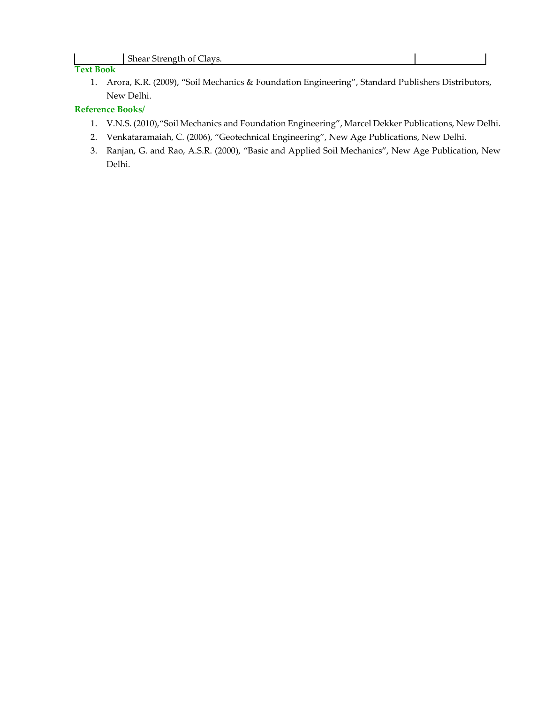### **Text Book**

1. Arora, K.R. (2009), "Soil Mechanics & Foundation Engineering", Standard Publishers Distributors, New Delhi.

### **Reference Books/**

- 1. V.N.S. (2010),"Soil Mechanics and Foundation Engineering", Marcel Dekker Publications, New Delhi.
- 2. Venkataramaiah, C. (2006), "Geotechnical Engineering", New Age Publications, New Delhi.
- 3. Ranjan, G. and Rao, A.S.R. (2000), "Basic and Applied Soil Mechanics", New Age Publication, New Delhi.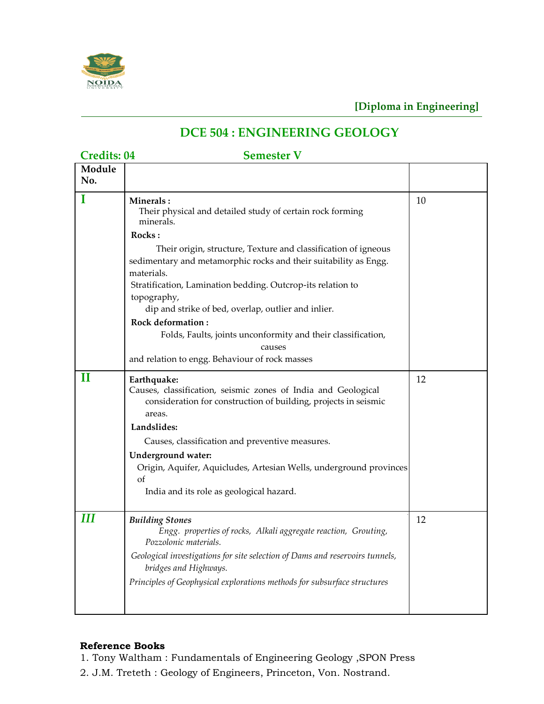

# **DCE 504 : ENGINEERING GEOLOGY**

**Credits: 04 Semester V**

| Module<br>No. |                                                                                                                                                           |    |
|---------------|-----------------------------------------------------------------------------------------------------------------------------------------------------------|----|
| T             | Minerals:<br>Their physical and detailed study of certain rock forming<br>minerals.                                                                       | 10 |
|               | Rocks:                                                                                                                                                    |    |
|               | Their origin, structure, Texture and classification of igneous<br>sedimentary and metamorphic rocks and their suitability as Engg.<br>materials.          |    |
|               | Stratification, Lamination bedding. Outcrop-its relation to<br>topography,                                                                                |    |
|               | dip and strike of bed, overlap, outlier and inlier.<br>Rock deformation:                                                                                  |    |
|               | Folds, Faults, joints unconformity and their classification,<br>causes                                                                                    |    |
|               | and relation to engg. Behaviour of rock masses                                                                                                            |    |
| П             | Earthquake:<br>Causes, classification, seismic zones of India and Geological<br>consideration for construction of building, projects in seismic<br>areas. | 12 |
|               | Landslides:                                                                                                                                               |    |
|               | Causes, classification and preventive measures.                                                                                                           |    |
|               | <b>Underground water:</b><br>Origin, Aquifer, Aquicludes, Artesian Wells, underground provinces<br>of<br>India and its role as geological hazard.         |    |
| Ш             | <b>Building Stones</b><br>Engg. properties of rocks, Alkali aggregate reaction, Grouting,<br>Pozzolonic materials.                                        | 12 |
|               | Geological investigations for site selection of Dams and reservoirs tunnels,<br>bridges and Highways.                                                     |    |
|               | Principles of Geophysical explorations methods for subsurface structures                                                                                  |    |

## **Reference Books**

- 1. Tony Waltham : Fundamentals of Engineering Geology ,SPON Press
- 2. J.M. Treteth : Geology of Engineers, Princeton, Von. Nostrand.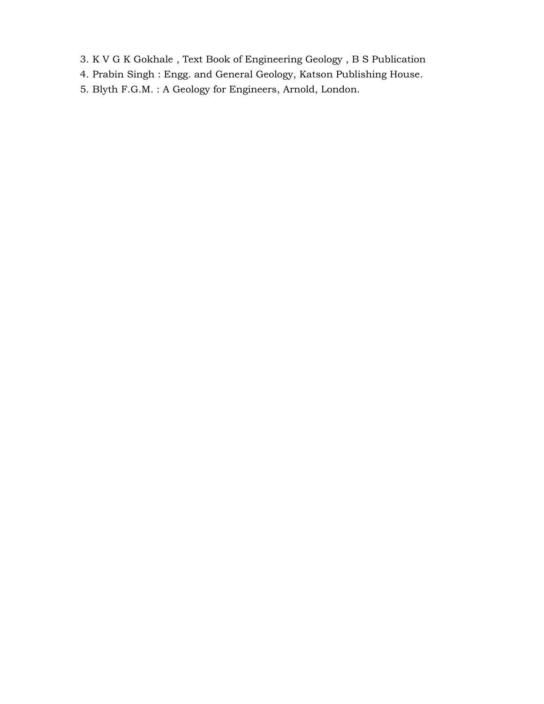- 3. K V G K Gokhale , Text Book of Engineering Geology , B S Publication
- 4. Prabin Singh : Engg. and General Geology, Katson Publishing House.
- 5. Blyth F.G.M. : A Geology for Engineers, Arnold, London.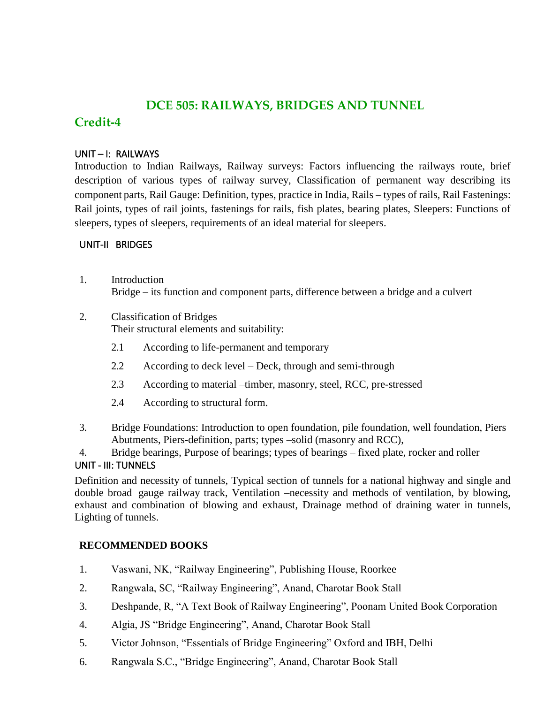## **DCE 505: RAILWAYS, BRIDGES AND TUNNEL**

# **Credit-4**

## UNIT – I: RAILWAYS

Introduction to Indian Railways, Railway surveys: Factors influencing the railways route, brief description of various types of railway survey, Classification of permanent way describing its component parts, Rail Gauge: Definition, types, practice in India, Rails – types of rails, Rail Fastenings: Rail joints, types of rail joints, fastenings for rails, fish plates, bearing plates, Sleepers: Functions of sleepers, types of sleepers, requirements of an ideal material for sleepers.

## UNIT-II BRIDGES

- 1. Introduction Bridge – its function and component parts, difference between a bridge and a culvert
- 2. Classification of Bridges Their structural elements and suitability:
	- 2.1 According to life-permanent and temporary
	- 2.2 According to deck level Deck, through and semi-through
	- 2.3 According to material –timber, masonry, steel, RCC, pre-stressed
	- 2.4 According to structural form.
- 3. Bridge Foundations: Introduction to open foundation, pile foundation, well foundation, Piers Abutments, Piers-definition, parts; types –solid (masonry and RCC),

4. Bridge bearings, Purpose of bearings; types of bearings – fixed plate, rocker and roller UNIT - III: TUNNELS

Definition and necessity of tunnels, Typical section of tunnels for a national highway and single and double broad gauge railway track, Ventilation –necessity and methods of ventilation, by blowing, exhaust and combination of blowing and exhaust, Drainage method of draining water in tunnels, Lighting of tunnels.

## **RECOMMENDED BOOKS**

- 1. Vaswani, NK, "Railway Engineering", Publishing House, Roorkee
- 2. Rangwala, SC, "Railway Engineering", Anand, Charotar Book Stall
- 3. Deshpande, R, "A Text Book of Railway Engineering", Poonam United Book Corporation
- 4. Algia, JS "Bridge Engineering", Anand, Charotar Book Stall
- 5. Victor Johnson, "Essentials of Bridge Engineering" Oxford and IBH, Delhi
- 6. Rangwala S.C., "Bridge Engineering", Anand, Charotar Book Stall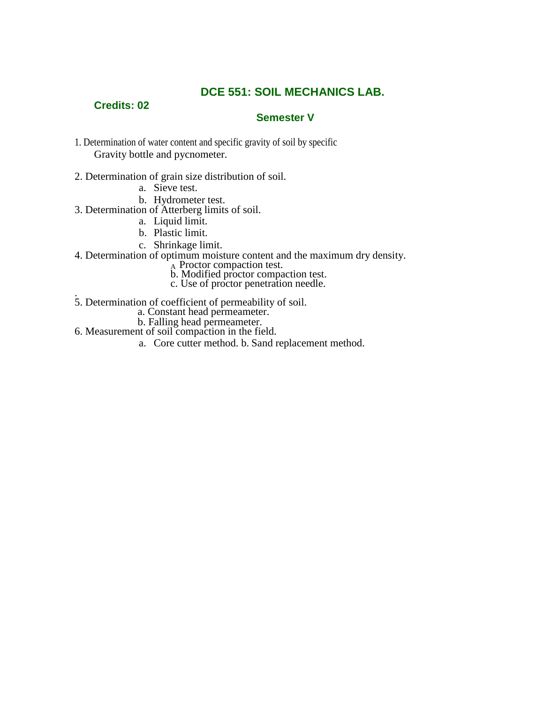## **DCE 551: SOIL MECHANICS LAB.**

## **Credits: 02**

## **Semester V**

- 1. Determination of water content and specific gravity of soil by specific Gravity bottle and pycnometer.
- 2. Determination of grain size distribution of soil.
	- a. Sieve test.
	- b. Hydrometer test.
- 3. Determination of Atterberg limits of soil.
	- a. Liquid limit.
	- b. Plastic limit.
	- c. Shrinkage limit.
- 4. Determination of optimum moisture content and the maximum dry density.
- $A$  Proctor compaction test.
- b. Modified proctor compaction test.
	- c. Use of proctor penetration needle.
- . 5. Determination of coefficient of permeability of soil.
	- a. Constant head permeameter.
	- b. Falling head permeameter.
- 6. Measurement of soil compaction in the field.
	- a. Core cutter method. b. Sand replacement method.